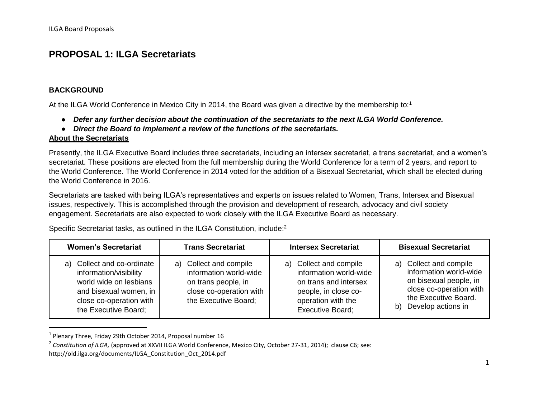#### **PROPOSAL 1: ILGA Secretariats**

#### **BACKGROUND**

 $\overline{\phantom{a}}$ 

At the ILGA World Conference in Mexico City in 2014, the Board was given a directive by the membership to:<sup>1</sup>

- *Defer any further decision about the continuation of the secretariats to the next ILGA World Conference.*
- *Direct the Board to implement a review of the functions of the secretariats.*

#### **About the Secretariats**

Presently, the ILGA Executive Board includes three secretariats, including an intersex secretariat, a trans secretariat, and a women's secretariat. These positions are elected from the full membership during the World Conference for a term of 2 years, and report to the World Conference. The World Conference in 2014 voted for the addition of a Bisexual Secretariat, which shall be elected during the World Conference in 2016.

Secretariats are tasked with being ILGA's representatives and experts on issues related to Women, Trans, Intersex and Bisexual issues, respectively. This is accomplished through the provision and development of research, advocacy and civil society engagement. Secretariats are also expected to work closely with the ILGA Executive Board as necessary.

Specific Secretariat tasks, as outlined in the ILGA Constitution, include:<sup>2</sup>

| <b>Women's Secretariat</b>                                                                                                                                  | <b>Trans Secretariat</b>                                                                                                   | <b>Intersex Secretariat</b>                                                                                                                        | <b>Bisexual Secretariat</b>                                                                                                                               |
|-------------------------------------------------------------------------------------------------------------------------------------------------------------|----------------------------------------------------------------------------------------------------------------------------|----------------------------------------------------------------------------------------------------------------------------------------------------|-----------------------------------------------------------------------------------------------------------------------------------------------------------|
| a) Collect and co-ordinate<br>information/visibility<br>world wide on lesbians<br>and bisexual women, in<br>close co-operation with<br>the Executive Board; | a) Collect and compile<br>information world-wide<br>on trans people, in<br>close co-operation with<br>the Executive Board; | a) Collect and compile<br>information world-wide<br>on trans and intersex<br>people, in close co-<br>operation with the<br><b>Executive Board:</b> | a) Collect and compile<br>information world-wide<br>on bisexual people, in<br>close co-operation with<br>the Executive Board.<br>Develop actions in<br>b) |

<sup>&</sup>lt;sup>1</sup> Plenary Three, Friday 29th October 2014, Proposal number 16

<sup>2</sup> *Constitution of ILGA,* (approved at XXVII ILGA World Conference, Mexico City, October 27-31, 2014); clause C6; see:

http://old.ilga.org/documents/ILGA\_Constitution\_Oct\_2014.pdf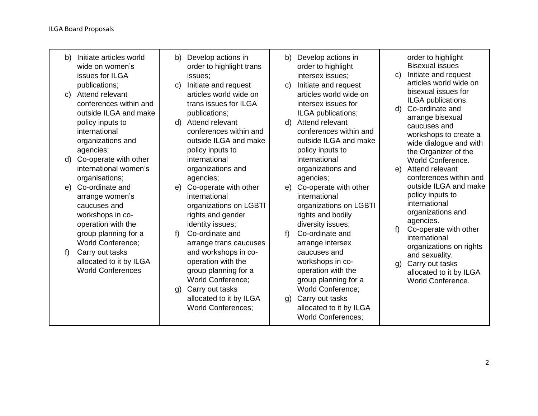| Initiate articles world<br>b)<br>wide on women's<br>issues for ILGA<br>publications;<br>Attend relevant<br>$\mathbf{C}$<br>conferences within and<br>outside ILGA and make<br>policy inputs to | Develop actions in<br>b)<br>order to highlight trans<br>issues;<br>Initiate and request<br>$\mathbf{C}$<br>articles world wide on<br>trans issues for ILGA<br>publications;<br>Attend relevant<br>d)                                        | Develop actions in<br>b)<br>order to highlight<br>intersex issues;<br>Initiate and request<br>C)<br>articles world wide on<br>intersex issues for<br>ILGA publications;<br>Attend relevant<br>d)                     | order to highlight<br><b>Bisexual issues</b><br>Initiate and request<br>$\mathsf{C}$<br>articles world wide on<br>bisexual issues for<br>ILGA publications.<br>Co-ordinate and<br>d)<br>arrange bisexual<br>caucuses and |
|------------------------------------------------------------------------------------------------------------------------------------------------------------------------------------------------|---------------------------------------------------------------------------------------------------------------------------------------------------------------------------------------------------------------------------------------------|----------------------------------------------------------------------------------------------------------------------------------------------------------------------------------------------------------------------|--------------------------------------------------------------------------------------------------------------------------------------------------------------------------------------------------------------------------|
| international<br>organizations and<br>agencies;<br>Co-operate with other<br>d)<br>international women's                                                                                        | conferences within and<br>outside ILGA and make<br>policy inputs to<br>international<br>organizations and                                                                                                                                   | conferences within and<br>outside ILGA and make<br>policy inputs to<br>international<br>organizations and                                                                                                            | workshops to create a<br>wide dialogue and with<br>the Organizer of the<br>World Conference.<br>Attend relevant<br>e)                                                                                                    |
| organisations;<br>Co-ordinate and<br>e)<br>arrange women's<br>caucuses and<br>workshops in co-<br>operation with the                                                                           | agencies;<br>Co-operate with other<br>e)<br>international<br>organizations on LGBTI<br>rights and gender<br>identity issues;                                                                                                                | agencies;<br>Co-operate with other<br>e)<br>international<br>organizations on LGBTI<br>rights and bodily<br>diversity issues;                                                                                        | conferences within and<br>outside ILGA and make<br>policy inputs to<br>international<br>organizations and<br>agencies.                                                                                                   |
| group planning for a<br><b>World Conference;</b><br>Carry out tasks<br>f<br>allocated to it by ILGA<br><b>World Conferences</b>                                                                | Co-ordinate and<br>f<br>arrange trans caucuses<br>and workshops in co-<br>operation with the<br>group planning for a<br><b>World Conference;</b><br>Carry out tasks<br>$\mathsf{q}$<br>allocated to it by ILGA<br><b>World Conferences:</b> | Co-ordinate and<br>f<br>arrange intersex<br>caucuses and<br>workshops in co-<br>operation with the<br>group planning for a<br><b>World Conference;</b><br>Carry out tasks<br>$\mathbf{q}$<br>allocated to it by ILGA | f<br>Co-operate with other<br>international<br>organizations on rights<br>and sexuality.<br>Carry out tasks<br>$\mathfrak{g}$ )<br>allocated to it by ILGA<br>World Conference.                                          |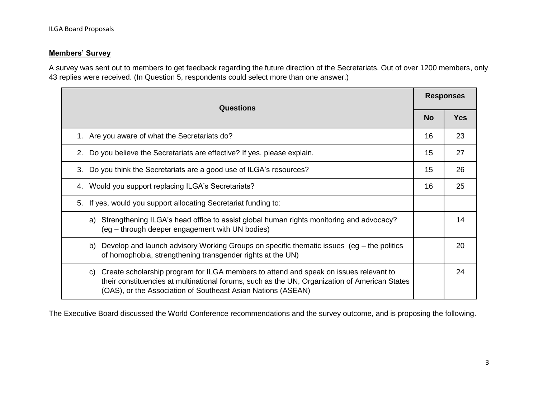#### **Members' Survey**

A survey was sent out to members to get feedback regarding the future direction of the Secretariats. Out of over 1200 members, only 43 replies were received. (In Question 5, respondents could select more than one answer.)

| <b>Questions</b>                                                                                                                                                                                                                                          |           | <b>Responses</b> |  |
|-----------------------------------------------------------------------------------------------------------------------------------------------------------------------------------------------------------------------------------------------------------|-----------|------------------|--|
|                                                                                                                                                                                                                                                           | <b>No</b> | <b>Yes</b>       |  |
| 1. Are you aware of what the Secretariats do?                                                                                                                                                                                                             | 16        | 23               |  |
| 2. Do you believe the Secretariats are effective? If yes, please explain.                                                                                                                                                                                 | 15        | 27               |  |
| 3. Do you think the Secretariats are a good use of ILGA's resources?                                                                                                                                                                                      | 15        | 26               |  |
| 4. Would you support replacing ILGA's Secretariats?                                                                                                                                                                                                       |           | 25               |  |
| 5. If yes, would you support allocating Secretariat funding to:                                                                                                                                                                                           |           |                  |  |
| a) Strengthening ILGA's head office to assist global human rights monitoring and advocacy?<br>14<br>(eg – through deeper engagement with UN bodies)                                                                                                       |           |                  |  |
| Develop and launch advisory Working Groups on specific thematic issues (eg – the politics<br>b)<br>of homophobia, strengthening transgender rights at the UN)                                                                                             |           | 20               |  |
| c) Create scholarship program for ILGA members to attend and speak on issues relevant to<br>their constituencies at multinational forums, such as the UN, Organization of American States<br>(OAS), or the Association of Southeast Asian Nations (ASEAN) |           | 24               |  |

The Executive Board discussed the World Conference recommendations and the survey outcome, and is proposing the following.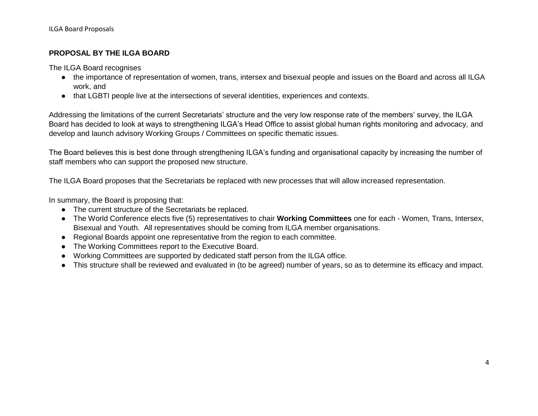#### **PROPOSAL BY THE ILGA BOARD**

The ILGA Board recognises

- the importance of representation of women, trans, intersex and bisexual people and issues on the Board and across all ILGA work, and
- that LGBTI people live at the intersections of several identities, experiences and contexts.

Addressing the limitations of the current Secretariats' structure and the very low response rate of the members' survey, the ILGA Board has decided to look at ways to strengthening ILGA's Head Office to assist global human rights monitoring and advocacy, and develop and launch advisory Working Groups / Committees on specific thematic issues.

The Board believes this is best done through strengthening ILGA's funding and organisational capacity by increasing the number of staff members who can support the proposed new structure.

The ILGA Board proposes that the Secretariats be replaced with new processes that will allow increased representation.

In summary, the Board is proposing that:

- The current structure of the Secretariats be replaced.
- The World Conference elects five (5) representatives to chair **Working Committees** one for each Women, Trans, Intersex, Bisexual and Youth. All representatives should be coming from ILGA member organisations.
- Regional Boards appoint one representative from the region to each committee.
- The Working Committees report to the Executive Board.
- Working Committees are supported by dedicated staff person from the ILGA office.
- This structure shall be reviewed and evaluated in (to be agreed) number of years, so as to determine its efficacy and impact.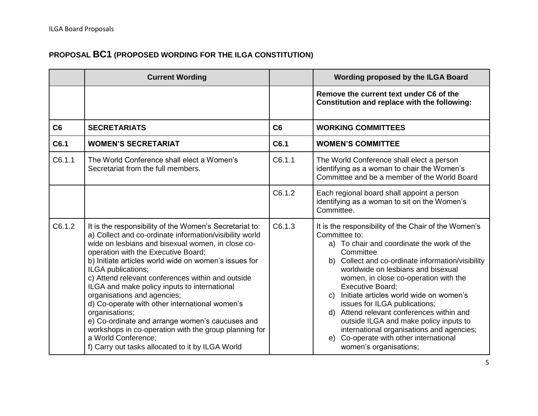### **PROPOSAL BC1 (PROPOSED WORDING FOR THE ILGA CONSTITUTION)**

|        | <b>Current Wording</b>                                                                                                                                                                                                                                                                                                                                                                                                                                                                                                                                                                                                                                                                       |        | Wording proposed by the ILGA Board                                                                                                                                                                                                                                                                                                                                                                                                                                                                                                                                                                     |
|--------|----------------------------------------------------------------------------------------------------------------------------------------------------------------------------------------------------------------------------------------------------------------------------------------------------------------------------------------------------------------------------------------------------------------------------------------------------------------------------------------------------------------------------------------------------------------------------------------------------------------------------------------------------------------------------------------------|--------|--------------------------------------------------------------------------------------------------------------------------------------------------------------------------------------------------------------------------------------------------------------------------------------------------------------------------------------------------------------------------------------------------------------------------------------------------------------------------------------------------------------------------------------------------------------------------------------------------------|
|        |                                                                                                                                                                                                                                                                                                                                                                                                                                                                                                                                                                                                                                                                                              |        | Remove the current text under C6 of the<br>Constitution and replace with the following:                                                                                                                                                                                                                                                                                                                                                                                                                                                                                                                |
| C6     | <b>SECRETARIATS</b>                                                                                                                                                                                                                                                                                                                                                                                                                                                                                                                                                                                                                                                                          | C6     | <b>WORKING COMMITTEES</b>                                                                                                                                                                                                                                                                                                                                                                                                                                                                                                                                                                              |
| C6.1   | <b>WOMEN'S SECRETARIAT</b>                                                                                                                                                                                                                                                                                                                                                                                                                                                                                                                                                                                                                                                                   | C6.1   | <b>WOMEN'S COMMITTEE</b>                                                                                                                                                                                                                                                                                                                                                                                                                                                                                                                                                                               |
| C6.1.1 | The World Conference shall elect a Women's<br>Secretariat from the full members.                                                                                                                                                                                                                                                                                                                                                                                                                                                                                                                                                                                                             | C6.1.1 | The World Conference shall elect a person<br>identifying as a woman to chair the Women's<br>Committee and be a member of the World Board                                                                                                                                                                                                                                                                                                                                                                                                                                                               |
|        |                                                                                                                                                                                                                                                                                                                                                                                                                                                                                                                                                                                                                                                                                              | C6.1.2 | Each regional board shall appoint a person<br>identifying as a woman to sit on the Women's<br>Committee.                                                                                                                                                                                                                                                                                                                                                                                                                                                                                               |
| C6.1.2 | It is the responsibility of the Women's Secretariat to:<br>a) Collect and co-ordinate information/visibility world<br>wide on lesbians and bisexual women, in close co-<br>operation with the Executive Board;<br>b) Initiate articles world wide on women's issues for<br>ILGA publications;<br>c) Attend relevant conferences within and outside<br>ILGA and make policy inputs to international<br>organisations and agencies;<br>d) Co-operate with other international women's<br>organisations;<br>e) Co-ordinate and arrange women's caucuses and<br>workshops in co-operation with the group planning for<br>a World Conference;<br>f) Carry out tasks allocated to it by ILGA World | C6.1.3 | It is the responsibility of the Chair of the Women's<br>Committee to:<br>a) To chair and coordinate the work of the<br>Committee<br>b) Collect and co-ordinate information/visibility<br>worldwide on lesbians and bisexual<br>women, in close co-operation with the<br><b>Executive Board;</b><br>Initiate articles world wide on women's<br>$\mathbf{C}$<br>issues for ILGA publications;<br>d) Attend relevant conferences within and<br>outside ILGA and make policy inputs to<br>international organisations and agencies;<br>Co-operate with other international<br>e)<br>women's organisations; |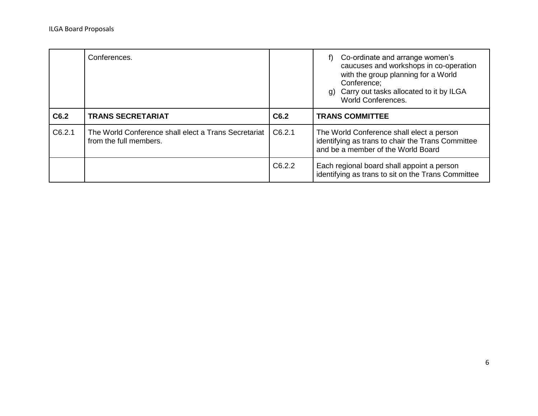ILGA Board Proposals

|        | Conferences.                                                                   |        | f) Co-ordinate and arrange women's<br>caucuses and workshops in co-operation<br>with the group planning for a World<br>Conference;<br>g) Carry out tasks allocated to it by ILGA<br><b>World Conferences.</b> |
|--------|--------------------------------------------------------------------------------|--------|---------------------------------------------------------------------------------------------------------------------------------------------------------------------------------------------------------------|
| C6.2   | <b>TRANS SECRETARIAT</b>                                                       | C6.2   | <b>TRANS COMMITTEE</b>                                                                                                                                                                                        |
| C6.2.1 | The World Conference shall elect a Trans Secretariat<br>from the full members. | C6.2.1 | The World Conference shall elect a person<br>identifying as trans to chair the Trans Committee<br>and be a member of the World Board                                                                          |
|        |                                                                                | C6.2.2 | Each regional board shall appoint a person<br>identifying as trans to sit on the Trans Committee                                                                                                              |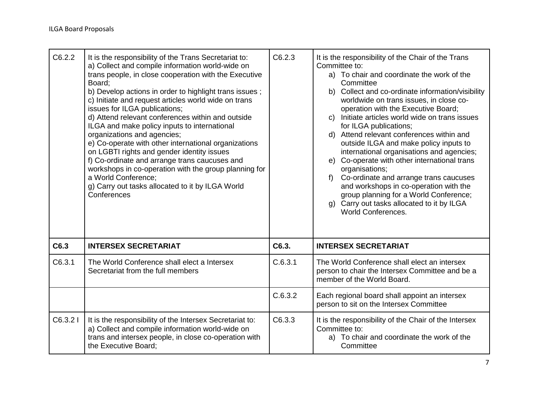| C6.2.2  | It is the responsibility of the Trans Secretariat to:<br>a) Collect and compile information world-wide on<br>trans people, in close cooperation with the Executive<br>Board;<br>b) Develop actions in order to highlight trans issues;<br>c) Initiate and request articles world wide on trans<br>issues for ILGA publications;<br>d) Attend relevant conferences within and outside<br>ILGA and make policy inputs to international<br>organizations and agencies;<br>e) Co-operate with other international organizations<br>on LGBTI rights and gender identity issues<br>f) Co-ordinate and arrange trans caucuses and<br>workshops in co-operation with the group planning for<br>a World Conference:<br>g) Carry out tasks allocated to it by ILGA World<br>Conferences | C6.2.3  | It is the responsibility of the Chair of the Trans<br>Committee to:<br>a) To chair and coordinate the work of the<br>Committee<br>b) Collect and co-ordinate information/visibility<br>worldwide on trans issues, in close co-<br>operation with the Executive Board;<br>c) Initiate articles world wide on trans issues<br>for ILGA publications;<br>d) Attend relevant conferences within and<br>outside ILGA and make policy inputs to<br>international organisations and agencies;<br>Co-operate with other international trans<br>e)<br>organisations;<br>Co-ordinate and arrange trans caucuses<br>$f$ )<br>and workshops in co-operation with the<br>group planning for a World Conference;<br>g) Carry out tasks allocated to it by ILGA<br><b>World Conferences.</b> |
|---------|-------------------------------------------------------------------------------------------------------------------------------------------------------------------------------------------------------------------------------------------------------------------------------------------------------------------------------------------------------------------------------------------------------------------------------------------------------------------------------------------------------------------------------------------------------------------------------------------------------------------------------------------------------------------------------------------------------------------------------------------------------------------------------|---------|-------------------------------------------------------------------------------------------------------------------------------------------------------------------------------------------------------------------------------------------------------------------------------------------------------------------------------------------------------------------------------------------------------------------------------------------------------------------------------------------------------------------------------------------------------------------------------------------------------------------------------------------------------------------------------------------------------------------------------------------------------------------------------|
| C6.3    | <b>INTERSEX SECRETARIAT</b>                                                                                                                                                                                                                                                                                                                                                                                                                                                                                                                                                                                                                                                                                                                                                   | C6.3.   | <b>INTERSEX SECRETARIAT</b>                                                                                                                                                                                                                                                                                                                                                                                                                                                                                                                                                                                                                                                                                                                                                   |
| C6.3.1  | The World Conference shall elect a Intersex<br>Secretariat from the full members                                                                                                                                                                                                                                                                                                                                                                                                                                                                                                                                                                                                                                                                                              | C.6.3.1 | The World Conference shall elect an intersex<br>person to chair the Intersex Committee and be a<br>member of the World Board.                                                                                                                                                                                                                                                                                                                                                                                                                                                                                                                                                                                                                                                 |
|         |                                                                                                                                                                                                                                                                                                                                                                                                                                                                                                                                                                                                                                                                                                                                                                               | C.6.3.2 | Each regional board shall appoint an intersex<br>person to sit on the Intersex Committee                                                                                                                                                                                                                                                                                                                                                                                                                                                                                                                                                                                                                                                                                      |
| C6.3.21 | It is the responsibility of the Intersex Secretariat to:<br>a) Collect and compile information world-wide on<br>trans and intersex people, in close co-operation with<br>the Executive Board;                                                                                                                                                                                                                                                                                                                                                                                                                                                                                                                                                                                 | C6.3.3  | It is the responsibility of the Chair of the Intersex<br>Committee to:<br>a) To chair and coordinate the work of the<br>Committee                                                                                                                                                                                                                                                                                                                                                                                                                                                                                                                                                                                                                                             |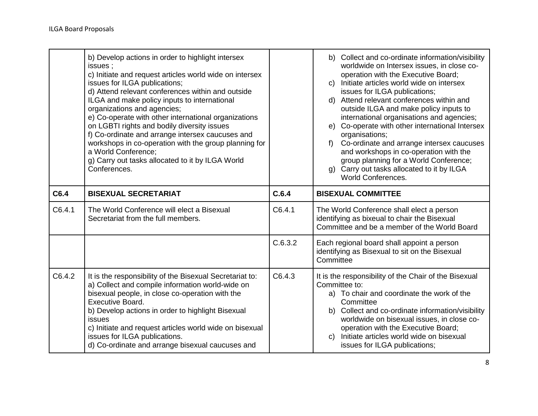|        | b) Develop actions in order to highlight intersex<br>issues ;<br>c) Initiate and request articles world wide on intersex<br>issues for ILGA publications;<br>d) Attend relevant conferences within and outside<br>ILGA and make policy inputs to international<br>organizations and agencies;<br>e) Co-operate with other international organizations<br>on LGBTI rights and bodily diversity issues<br>f) Co-ordinate and arrange intersex caucuses and<br>workshops in co-operation with the group planning for<br>a World Conference;<br>g) Carry out tasks allocated to it by ILGA World<br>Conferences. |         | b) Collect and co-ordinate information/visibility<br>worldwide on Intersex issues, in close co-<br>operation with the Executive Board;<br>c) Initiate articles world wide on intersex<br>issues for ILGA publications;<br>d) Attend relevant conferences within and<br>outside ILGA and make policy inputs to<br>international organisations and agencies;<br>e) Co-operate with other international Intersex<br>organisations;<br>Co-ordinate and arrange intersex caucuses<br>f<br>and workshops in co-operation with the<br>group planning for a World Conference;<br>g) Carry out tasks allocated to it by ILGA<br><b>World Conferences.</b> |
|--------|--------------------------------------------------------------------------------------------------------------------------------------------------------------------------------------------------------------------------------------------------------------------------------------------------------------------------------------------------------------------------------------------------------------------------------------------------------------------------------------------------------------------------------------------------------------------------------------------------------------|---------|--------------------------------------------------------------------------------------------------------------------------------------------------------------------------------------------------------------------------------------------------------------------------------------------------------------------------------------------------------------------------------------------------------------------------------------------------------------------------------------------------------------------------------------------------------------------------------------------------------------------------------------------------|
| C6.4   | <b>BISEXUAL SECRETARIAT</b>                                                                                                                                                                                                                                                                                                                                                                                                                                                                                                                                                                                  | C.6.4   | <b>BISEXUAL COMMITTEE</b>                                                                                                                                                                                                                                                                                                                                                                                                                                                                                                                                                                                                                        |
| C6.4.1 | The World Conference will elect a Bisexual<br>Secretariat from the full members.                                                                                                                                                                                                                                                                                                                                                                                                                                                                                                                             | C6.4.1  | The World Conference shall elect a person<br>identifying as bixeual to chair the Bisexual<br>Committee and be a member of the World Board                                                                                                                                                                                                                                                                                                                                                                                                                                                                                                        |
|        |                                                                                                                                                                                                                                                                                                                                                                                                                                                                                                                                                                                                              | C.6.3.2 | Each regional board shall appoint a person<br>identifying as Bisexual to sit on the Bisexual<br>Committee                                                                                                                                                                                                                                                                                                                                                                                                                                                                                                                                        |
| C6.4.2 | It is the responsibility of the Bisexual Secretariat to:<br>a) Collect and compile information world-wide on<br>bisexual people, in close co-operation with the<br><b>Executive Board.</b><br>b) Develop actions in order to highlight Bisexual<br>issues<br>c) Initiate and request articles world wide on bisexual<br>issues for ILGA publications.<br>d) Co-ordinate and arrange bisexual caucuses and                                                                                                                                                                                                    | C6.4.3  | It is the responsibility of the Chair of the Bisexual<br>Committee to:<br>a) To chair and coordinate the work of the<br>Committee<br>b) Collect and co-ordinate information/visibility<br>worldwide on bisexual issues, in close co-<br>operation with the Executive Board;<br>c) Initiate articles world wide on bisexual<br>issues for ILGA publications;                                                                                                                                                                                                                                                                                      |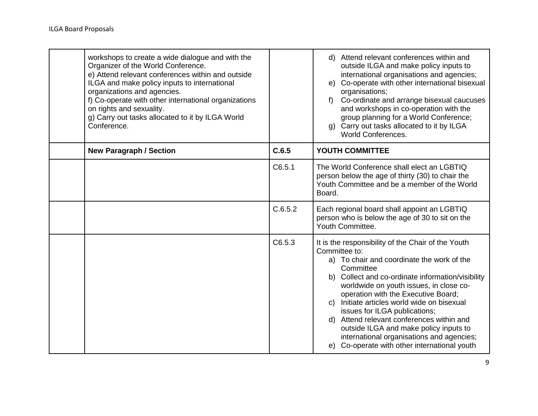| workshops to create a wide dialogue and with the<br>Organizer of the World Conference.<br>e) Attend relevant conferences within and outside<br>ILGA and make policy inputs to international<br>organizations and agencies.<br>f) Co-operate with other international organizations<br>on rights and sexuality.<br>g) Carry out tasks allocated to it by ILGA World<br>Conference. |         | d) Attend relevant conferences within and<br>outside ILGA and make policy inputs to<br>international organisations and agencies;<br>e) Co-operate with other international bisexual<br>organisations;<br>f) Co-ordinate and arrange bisexual caucuses<br>and workshops in co-operation with the<br>group planning for a World Conference;<br>g) Carry out tasks allocated to it by ILGA<br><b>World Conferences.</b>                                                                                                                         |
|-----------------------------------------------------------------------------------------------------------------------------------------------------------------------------------------------------------------------------------------------------------------------------------------------------------------------------------------------------------------------------------|---------|----------------------------------------------------------------------------------------------------------------------------------------------------------------------------------------------------------------------------------------------------------------------------------------------------------------------------------------------------------------------------------------------------------------------------------------------------------------------------------------------------------------------------------------------|
| <b>New Paragraph / Section</b>                                                                                                                                                                                                                                                                                                                                                    | C.6.5   | YOUTH COMMITTEE                                                                                                                                                                                                                                                                                                                                                                                                                                                                                                                              |
|                                                                                                                                                                                                                                                                                                                                                                                   | C6.5.1  | The World Conference shall elect an LGBTIQ<br>person below the age of thirty (30) to chair the<br>Youth Committee and be a member of the World<br>Board.                                                                                                                                                                                                                                                                                                                                                                                     |
|                                                                                                                                                                                                                                                                                                                                                                                   | C.6.5.2 | Each regional board shall appoint an LGBTIQ<br>person who is below the age of 30 to sit on the<br>Youth Committee.                                                                                                                                                                                                                                                                                                                                                                                                                           |
|                                                                                                                                                                                                                                                                                                                                                                                   | C6.5.3  | It is the responsibility of the Chair of the Youth<br>Committee to:<br>a) To chair and coordinate the work of the<br>Committee<br>b) Collect and co-ordinate information/visibility<br>worldwide on youth issues, in close co-<br>operation with the Executive Board;<br>c) Initiate articles world wide on bisexual<br>issues for ILGA publications;<br>Attend relevant conferences within and<br>d)<br>outside ILGA and make policy inputs to<br>international organisations and agencies;<br>e) Co-operate with other international youth |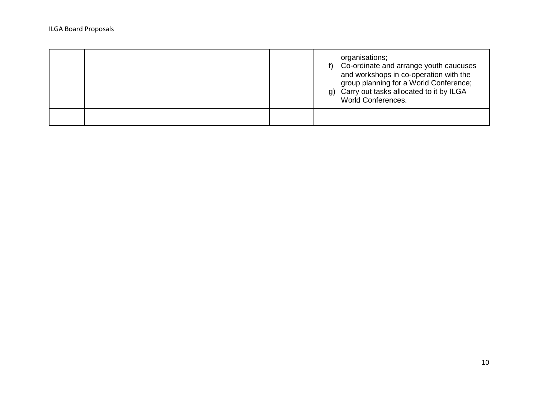| organisations;<br>Co-ordinate and arrange youth caucuses<br>f)<br>and workshops in co-operation with the<br>group planning for a World Conference;<br>g) Carry out tasks allocated to it by ILGA<br><b>World Conferences.</b> |
|-------------------------------------------------------------------------------------------------------------------------------------------------------------------------------------------------------------------------------|
|                                                                                                                                                                                                                               |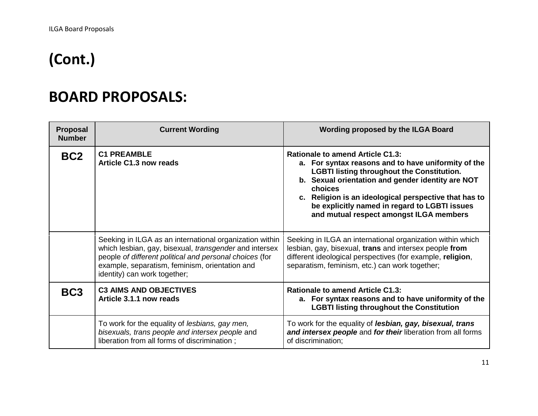# **(Cont.)**

## **BOARD PROPOSALS:**

| <b>Proposal</b><br><b>Number</b> | <b>Current Wording</b>                                                                                                                                                                                                                                                | Wording proposed by the ILGA Board                                                                                                                                                                                                                                                                                                                                       |
|----------------------------------|-----------------------------------------------------------------------------------------------------------------------------------------------------------------------------------------------------------------------------------------------------------------------|--------------------------------------------------------------------------------------------------------------------------------------------------------------------------------------------------------------------------------------------------------------------------------------------------------------------------------------------------------------------------|
| BC <sub>2</sub>                  | <b>C1 PREAMBLE</b><br>Article C1.3 now reads                                                                                                                                                                                                                          | <b>Rationale to amend Article C1.3:</b><br>a. For syntax reasons and to have uniformity of the<br><b>LGBTI listing throughout the Constitution.</b><br>b. Sexual orientation and gender identity are NOT<br>choices<br>c. Religion is an ideological perspective that has to<br>be explicitly named in regard to LGBTI issues<br>and mutual respect amongst ILGA members |
|                                  | Seeking in ILGA as an international organization within<br>which lesbian, gay, bisexual, <i>transgender</i> and intersex<br>people of different political and personal choices (for<br>example, separatism, feminism, orientation and<br>identity) can work together; | Seeking in ILGA an international organization within which<br>lesbian, gay, bisexual, trans and intersex people from<br>different ideological perspectives (for example, religion,<br>separatism, feminism, etc.) can work together;                                                                                                                                     |
| BC <sub>3</sub>                  | <b>C3 AIMS AND OBJECTIVES</b><br>Article 3.1.1 now reads                                                                                                                                                                                                              | <b>Rationale to amend Article C1.3:</b><br>a. For syntax reasons and to have uniformity of the<br><b>LGBTI listing throughout the Constitution</b>                                                                                                                                                                                                                       |
|                                  | To work for the equality of lesbians, gay men,<br>bisexuals, trans people and intersex people and<br>liberation from all forms of discrimination;                                                                                                                     | To work for the equality of <i>lesbian</i> , gay, bisexual, trans<br>and intersex people and for their liberation from all forms<br>of discrimination;                                                                                                                                                                                                                   |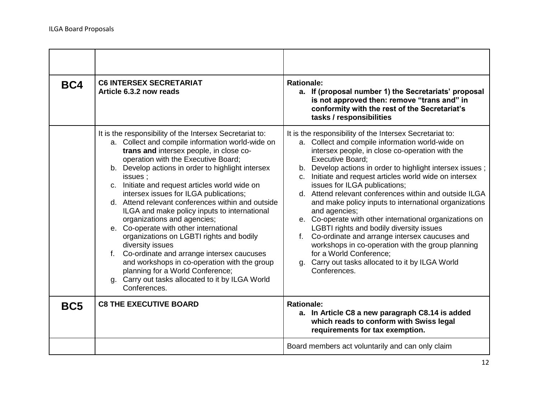| BC4             | <b>C6 INTERSEX SECRETARIAT</b><br>Article 6.3.2 now reads                                                                                                                                                                                                                                                                                                                                                                                                                                                                                                                                                                                                                                                                                                                                                           | <b>Rationale:</b><br>a. If (proposal number 1) the Secretariats' proposal<br>is not approved then: remove "trans and" in<br>conformity with the rest of the Secretariat's<br>tasks / responsibilities                                                                                                                                                                                                                                                                                                                                                                                                                                                                                                                                                                                                  |
|-----------------|---------------------------------------------------------------------------------------------------------------------------------------------------------------------------------------------------------------------------------------------------------------------------------------------------------------------------------------------------------------------------------------------------------------------------------------------------------------------------------------------------------------------------------------------------------------------------------------------------------------------------------------------------------------------------------------------------------------------------------------------------------------------------------------------------------------------|--------------------------------------------------------------------------------------------------------------------------------------------------------------------------------------------------------------------------------------------------------------------------------------------------------------------------------------------------------------------------------------------------------------------------------------------------------------------------------------------------------------------------------------------------------------------------------------------------------------------------------------------------------------------------------------------------------------------------------------------------------------------------------------------------------|
|                 | It is the responsibility of the Intersex Secretariat to:<br>a. Collect and compile information world-wide on<br>trans and intersex people, in close co-<br>operation with the Executive Board;<br>b. Develop actions in order to highlight intersex<br>issues:<br>c. Initiate and request articles world wide on<br>intersex issues for ILGA publications;<br>d. Attend relevant conferences within and outside<br>ILGA and make policy inputs to international<br>organizations and agencies;<br>e. Co-operate with other international<br>organizations on LGBTI rights and bodily<br>diversity issues<br>Co-ordinate and arrange intersex caucuses<br>f.<br>and workshops in co-operation with the group<br>planning for a World Conference;<br>g. Carry out tasks allocated to it by ILGA World<br>Conferences. | It is the responsibility of the Intersex Secretariat to:<br>a. Collect and compile information world-wide on<br>intersex people, in close co-operation with the<br><b>Executive Board:</b><br>b. Develop actions in order to highlight intersex issues;<br>c. Initiate and request articles world wide on intersex<br>issues for ILGA publications;<br>d. Attend relevant conferences within and outside ILGA<br>and make policy inputs to international organizations<br>and agencies;<br>e. Co-operate with other international organizations on<br>LGBTI rights and bodily diversity issues<br>f. Co-ordinate and arrange intersex caucuses and<br>workshops in co-operation with the group planning<br>for a World Conference;<br>g. Carry out tasks allocated to it by ILGA World<br>Conferences. |
| BC <sub>5</sub> | <b>C8 THE EXECUTIVE BOARD</b>                                                                                                                                                                                                                                                                                                                                                                                                                                                                                                                                                                                                                                                                                                                                                                                       | <b>Rationale:</b><br>a. In Article C8 a new paragraph C8.14 is added<br>which reads to conform with Swiss legal<br>requirements for tax exemption.                                                                                                                                                                                                                                                                                                                                                                                                                                                                                                                                                                                                                                                     |
|                 |                                                                                                                                                                                                                                                                                                                                                                                                                                                                                                                                                                                                                                                                                                                                                                                                                     | Board members act voluntarily and can only claim                                                                                                                                                                                                                                                                                                                                                                                                                                                                                                                                                                                                                                                                                                                                                       |